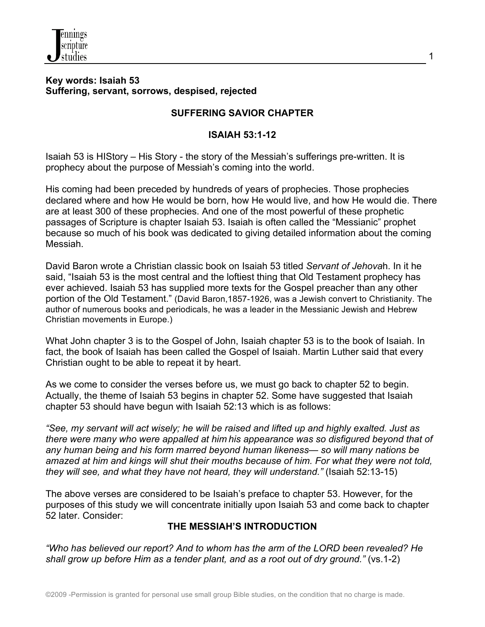

#### **Key words: Isaiah 53 Suffering, servant, sorrows, despised, rejected**

## **SUFFERING SAVIOR CHAPTER**

#### **ISAIAH 53:1-12**

Isaiah 53 is HIStory – His Story - the story of the Messiah's sufferings pre-written. It is prophecy about the purpose of Messiah's coming into the world.

His coming had been preceded by hundreds of years of prophecies. Those prophecies declared where and how He would be born, how He would live, and how He would die. There are at least 300 of these prophecies. And one of the most powerful of these prophetic passages of Scripture is chapter Isaiah 53. Isaiah is often called the "Messianic" prophet because so much of his book was dedicated to giving detailed information about the coming Messiah.

David Baron wrote a Christian classic book on Isaiah 53 titled *Servant of Jehova*h. In it he said, "Isaiah 53 is the most central and the loftiest thing that Old Testament prophecy has ever achieved. Isaiah 53 has supplied more texts for the Gospel preacher than any other portion of the Old Testament." (David Baron,1857-1926, was a Jewish convert to Christianity. The author of numerous books and periodicals, he was a leader in the Messianic Jewish and Hebrew Christian movements in Europe.)

What John chapter 3 is to the Gospel of John, Isaiah chapter 53 is to the book of Isaiah. In fact, the book of Isaiah has been called the Gospel of Isaiah. Martin Luther said that every Christian ought to be able to repeat it by heart.

As we come to consider the verses before us, we must go back to chapter 52 to begin. Actually, the theme of Isaiah 53 begins in chapter 52. Some have suggested that Isaiah chapter 53 should have begun with Isaiah 52:13 which is as follows:

*"See, my servant will act wisely; he will be raised and lifted up and highly exalted. Just as there were many who were appalled at him his appearance was so disfigured beyond that of any human being and his form marred beyond human likeness— so will many nations be amazed at him and kings will shut their mouths because of him. For what they were not told, they will see, and what they have not heard, they will understand."* (Isaiah 52:13-15)

The above verses are considered to be Isaiah's preface to chapter 53. However, for the purposes of this study we will concentrate initially upon Isaiah 53 and come back to chapter 52 later. Consider:

# **THE MESSIAH'S INTRODUCTION**

*"Who has believed our report? And to whom has the arm of the LORD been revealed? He shall grow up before Him as a tender plant, and as a root out of dry ground."* (vs.1-2)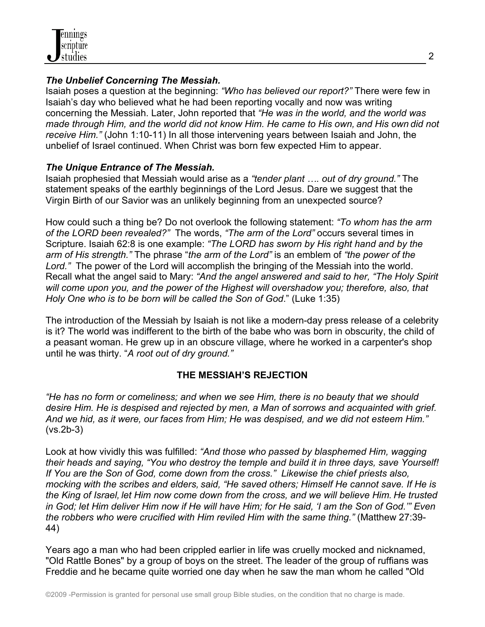

## *The Unbelief Concerning The Messiah.*

Isaiah poses a question at the beginning: *"Who has believed our report?"* There were few in Isaiah's day who believed what he had been reporting vocally and now was writing concerning the Messiah. Later, John reported that *"He was in the world, and the world was made through Him, and the world did not know Him. He came to His own, and His own did not receive Him."* (John 1:10-11) In all those intervening years between Isaiah and John, the unbelief of Israel continued. When Christ was born few expected Him to appear.

### *The Unique Entrance of The Messiah.*

Isaiah prophesied that Messiah would arise as a *"tender plant …. out of dry ground."* The statement speaks of the earthly beginnings of the Lord Jesus. Dare we suggest that the Virgin Birth of our Savior was an unlikely beginning from an unexpected source?

How could such a thing be? Do not overlook the following statement: *"To whom has the arm of the LORD been revealed?"* The words, *"The arm of the Lord"* occurs several times in Scripture. Isaiah 62:8 is one example: *"The LORD has sworn by His right hand and by the arm of His strength."* The phrase "*the arm of the Lord"* is an emblem of *"the power of the Lord."* The power of the Lord will accomplish the bringing of the Messiah into the world. Recall what the angel said to Mary: *"And the angel answered and said to her, "The Holy Spirit will come upon you, and the power of the Highest will overshadow you; therefore, also, that Holy One who is to be born will be called the Son of God*." (Luke 1:35)

The introduction of the Messiah by Isaiah is not like a modern-day press release of a celebrity is it? The world was indifferent to the birth of the babe who was born in obscurity, the child of a peasant woman. He grew up in an obscure village, where he worked in a carpenter's shop until he was thirty. "*A root out of dry ground."*

# **THE MESSIAH'S REJECTION**

*"He has no form or comeliness; and when we see Him, there is no beauty that we should desire Him. He is despised and rejected by men, a Man of sorrows and acquainted with grief. And we hid, as it were, our faces from Him; He was despised, and we did not esteem Him."* (vs.2b-3)

Look at how vividly this was fulfilled: *"And those who passed by blasphemed Him, wagging their heads and saying, "You who destroy the temple and build it in three days, save Yourself! If You are the Son of God, come down from the cross." Likewise the chief priests also, mocking with the scribes and elders, said, "He saved others; Himself He cannot save. If He is the King of Israel, let Him now come down from the cross, and we will believe Him. He trusted in God; let Him deliver Him now if He will have Him; for He said, 'I am the Son of God.'" Even the robbers who were crucified with Him reviled Him with the same thing."* (Matthew 27:39- 44)

Years ago a man who had been crippled earlier in life was cruelly mocked and nicknamed, "Old Rattle Bones" by a group of boys on the street. The leader of the group of ruffians was Freddie and he became quite worried one day when he saw the man whom he called "Old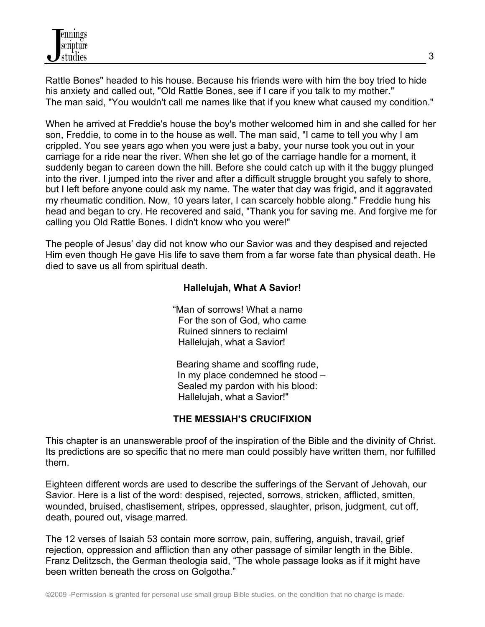Rattle Bones" headed to his house. Because his friends were with him the boy tried to hide his anxiety and called out, "Old Rattle Bones, see if I care if you talk to my mother." The man said, "You wouldn't call me names like that if you knew what caused my condition."

When he arrived at Freddie's house the boy's mother welcomed him in and she called for her son, Freddie, to come in to the house as well. The man said, "I came to tell you why I am crippled. You see years ago when you were just a baby, your nurse took you out in your carriage for a ride near the river. When she let go of the carriage handle for a moment, it suddenly began to careen down the hill. Before she could catch up with it the buggy plunged into the river. I jumped into the river and after a difficult struggle brought you safely to shore, but I left before anyone could ask my name. The water that day was frigid, and it aggravated my rheumatic condition. Now, 10 years later, I can scarcely hobble along." Freddie hung his head and began to cry. He recovered and said, "Thank you for saving me. And forgive me for calling you Old Rattle Bones. I didn't know who you were!"

The people of Jesus' day did not know who our Savior was and they despised and rejected Him even though He gave His life to save them from a far worse fate than physical death. He died to save us all from spiritual death.

### **Hallelujah, What A Savior!**

 "Man of sorrows! What a name For the son of God, who came Ruined sinners to reclaim! Hallelujah, what a Savior!

 Bearing shame and scoffing rude, In my place condemned he stood – Sealed my pardon with his blood: Hallelujah, what a Savior!"

#### **THE MESSIAH'S CRUCIFIXION**

This chapter is an unanswerable proof of the inspiration of the Bible and the divinity of Christ. Its predictions are so specific that no mere man could possibly have written them, nor fulfilled them.

Eighteen different words are used to describe the sufferings of the Servant of Jehovah, our Savior. Here is a list of the word: despised, rejected, sorrows, stricken, afflicted, smitten, wounded, bruised, chastisement, stripes, oppressed, slaughter, prison, judgment, cut off, death, poured out, visage marred.

The 12 verses of Isaiah 53 contain more sorrow, pain, suffering, anguish, travail, grief rejection, oppression and affliction than any other passage of similar length in the Bible. Franz Delitzsch, the German theologia said, "The whole passage looks as if it might have been written beneath the cross on Golgotha."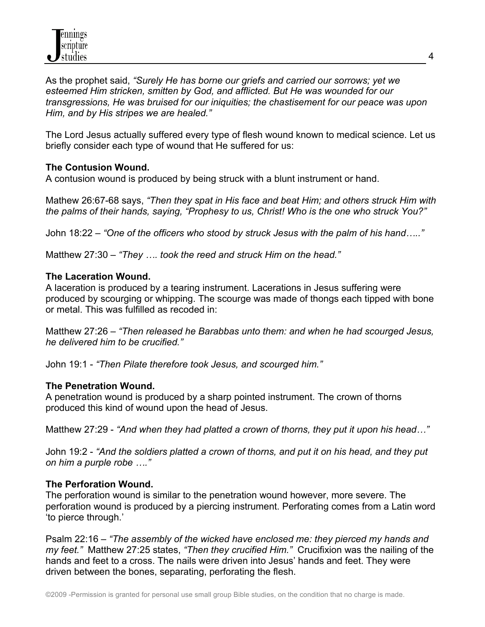As the prophet said, *"Surely He has borne our griefs and carried our sorrows; yet we esteemed Him stricken, smitten by God, and afflicted. But He was wounded for our transgressions, He was bruised for our iniquities; the chastisement for our peace was upon Him, and by His stripes we are healed."*

The Lord Jesus actually suffered every type of flesh wound known to medical science. Let us briefly consider each type of wound that He suffered for us:

# **The Contusion Wound.**

A contusion wound is produced by being struck with a blunt instrument or hand.

Mathew 26:67-68 says, *"Then they spat in His face and beat Him; and others struck Him with the palms of their hands, saying, "Prophesy to us, Christ! Who is the one who struck You?"*

John 18:22 – *"One of the officers who stood by struck Jesus with the palm of his hand….."*

Matthew 27:30 – *"They …. took the reed and struck Him on the head."*

# **The Laceration Wound.**

A laceration is produced by a tearing instrument. Lacerations in Jesus suffering were produced by scourging or whipping. The scourge was made of thongs each tipped with bone or metal. This was fulfilled as recoded in:

Matthew 27:26 – *"Then released he Barabbas unto them: and when he had scourged Jesus, he delivered him to be crucified."*

John 19:1 - *"Then Pilate therefore took Jesus, and scourged him."*

# **The Penetration Wound.**

A penetration wound is produced by a sharp pointed instrument. The crown of thorns produced this kind of wound upon the head of Jesus.

Matthew 27:29 - *"And when they had platted a crown of thorns, they put it upon his head…"*

John 19:2 - *"And the soldiers platted a crown of thorns, and put it on his head, and they put on him a purple robe …."*

# **The Perforation Wound.**

The perforation wound is similar to the penetration wound however, more severe. The perforation wound is produced by a piercing instrument. Perforating comes from a Latin word 'to pierce through.'

Psalm 22:16 – *"The assembly of the wicked have enclosed me: they pierced my hands and my feet."* Matthew 27:25 states, *"Then they crucified Him."* Crucifixion was the nailing of the hands and feet to a cross. The nails were driven into Jesus' hands and feet. They were driven between the bones, separating, perforating the flesh.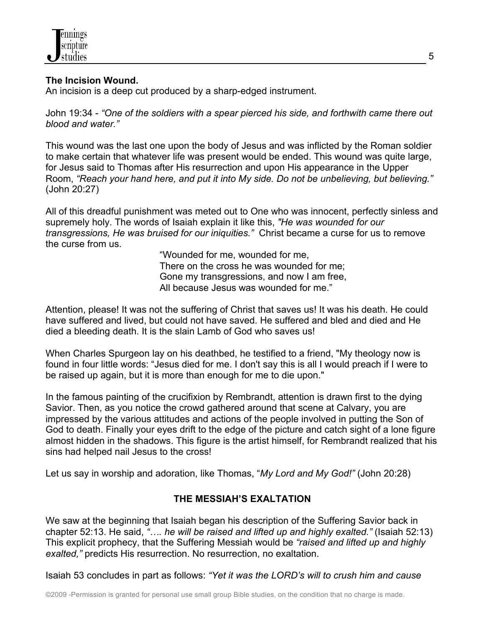

### **The Incision Wound.**

An incision is a deep cut produced by a sharp-edged instrument.

John 19:34 - *"One of the soldiers with a spear pierced his side, and forthwith came there out blood and water."*

This wound was the last one upon the body of Jesus and was inflicted by the Roman soldier to make certain that whatever life was present would be ended. This wound was quite large, for Jesus said to Thomas after His resurrection and upon His appearance in the Upper Room, *"Reach your hand here, and put it into My side. Do not be unbelieving, but believing."* (John 20:27)

All of this dreadful punishment was meted out to One who was innocent, perfectly sinless and supremely holy. The words of Isaiah explain it like this, *"He was wounded for our transgressions, He was bruised for our iniquities."* Christ became a curse for us to remove the curse from us.

> "Wounded for me, wounded for me, There on the cross he was wounded for me; Gone my transgressions, and now I am free, All because Jesus was wounded for me."

Attention, please! It was not the suffering of Christ that saves us! It was his death. He could have suffered and lived, but could not have saved. He suffered and bled and died and He died a bleeding death. It is the slain Lamb of God who saves us!

When Charles Spurgeon lay on his deathbed, he testified to a friend, "My theology now is found in four little words: "Jesus died for me. I don't say this is all I would preach if I were to be raised up again, but it is more than enough for me to die upon."

In the famous painting of the crucifixion by Rembrandt, attention is drawn first to the dying Savior. Then, as you notice the crowd gathered around that scene at Calvary, you are impressed by the various attitudes and actions of the people involved in putting the Son of God to death. Finally your eyes drift to the edge of the picture and catch sight of a lone figure almost hidden in the shadows. This figure is the artist himself, for Rembrandt realized that his sins had helped nail Jesus to the cross!

Let us say in worship and adoration, like Thomas, "*My Lord and My God!"* (John 20:28)

# **THE MESSIAH'S EXALTATION**

We saw at the beginning that Isaiah began his description of the Suffering Savior back in chapter 52:13. He said, *"…. he will be raised and lifted up and highly exalted."* (Isaiah 52:13) This explicit prophecy, that the Suffering Messiah would be *"raised and lifted up and highly exalted,"* predicts His resurrection. No resurrection, no exaltation.

Isaiah 53 concludes in part as follows: *"Yet it was the LORD's will to crush him and cause*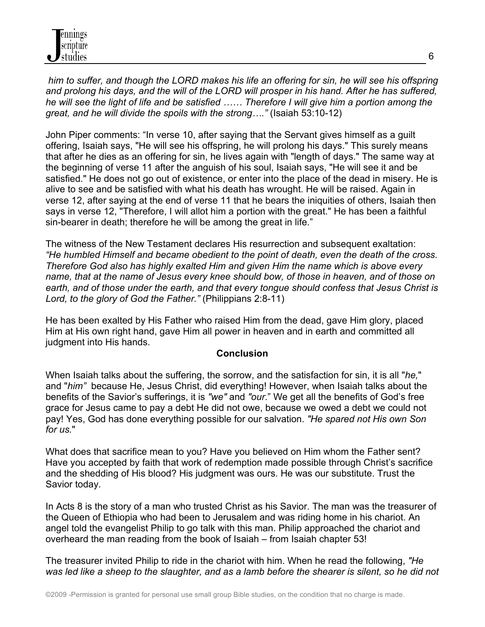*him to suffer, and though the LORD makes his life an offering for sin, he will see his offspring and prolong his days, and the will of the LORD will prosper in his hand. After he has suffered, he will see the light of life and be satisfied …… Therefore I will give him a portion among the great, and he will divide the spoils with the strong…."* (Isaiah 53:10-12)

John Piper comments: "In verse 10, after saying that the Servant gives himself as a guilt offering, Isaiah says, "He will see his offspring, he will prolong his days." This surely means that after he dies as an offering for sin, he lives again with "length of days." The same way at the beginning of verse 11 after the anguish of his soul, Isaiah says, "He will see it and be satisfied." He does not go out of existence, or enter into the place of the dead in misery. He is alive to see and be satisfied with what his death has wrought. He will be raised. Again in verse 12, after saying at the end of verse 11 that he bears the iniquities of others, Isaiah then says in verse 12, "Therefore, I will allot him a portion with the great." He has been a faithful sin-bearer in death; therefore he will be among the great in life."

The witness of the New Testament declares His resurrection and subsequent exaltation: *"He humbled Himself and became obedient to the point of death, even the death of the cross. Therefore God also has highly exalted Him and given Him the name which is above every name, that at the name of Jesus every knee should bow, of those in heaven, and of those on earth, and of those under the earth, and that every tongue should confess that Jesus Christ is Lord, to the glory of God the Father."* (Philippians 2:8-11)

He has been exalted by His Father who raised Him from the dead, gave Him glory, placed Him at His own right hand, gave Him all power in heaven and in earth and committed all judgment into His hands.

#### **Conclusion**

When Isaiah talks about the suffering, the sorrow, and the satisfaction for sin, it is all "*he,*" and "*him"* because He, Jesus Christ, did everything! However, when Isaiah talks about the benefits of the Savior's sufferings, it is *"we"* and *"our*." We get all the benefits of God's free grace for Jesus came to pay a debt He did not owe, because we owed a debt we could not pay! Yes, God has done everything possible for our salvation. *"He spared not His own Son for us.*"

What does that sacrifice mean to you? Have you believed on Him whom the Father sent? Have you accepted by faith that work of redemption made possible through Christ's sacrifice and the shedding of His blood? His judgment was ours. He was our substitute. Trust the Savior today.

In Acts 8 is the story of a man who trusted Christ as his Savior. The man was the treasurer of the Queen of Ethiopia who had been to Jerusalem and was riding home in his chariot. An angel told the evangelist Philip to go talk with this man. Philip approached the chariot and overheard the man reading from the book of Isaiah – from Isaiah chapter 53!

The treasurer invited Philip to ride in the chariot with him. When he read the following, *"He was led like a sheep to the slaughter, and as a lamb before the shearer is silent, so he did not*